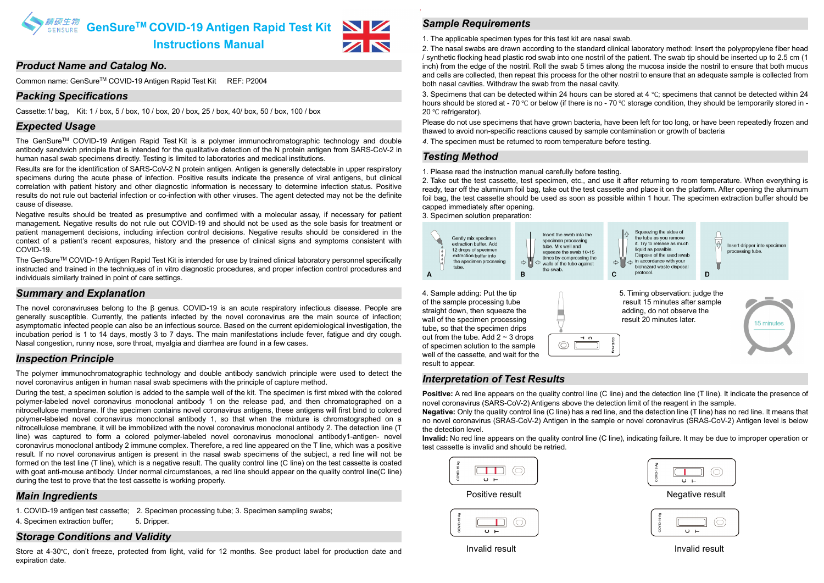# **GENSURE GENSURE<sup>TM</sup> COVID-19 Antigen Rapid Test Kit NIZZ Instructions Manual**

#### *Product Name and Catalog No.*

Common name: GenSure™ COVID-19 Antigen Rapid Test Kit REF: P2004

#### *Packing Specifications*

Cassette:1/ bag, Kit: 1 / box, 5 / box, 10 / box, 20 / box, 25 / box, 40/ box, 50 / box, 100 / box

#### *Expected Usage*

The GenSureTM COVID-19 Antigen Rapid Test Kit is a polymer immunochromatographic technology and double antibody sandwich principle that is intended for the qualitative detection of the N protein antigen from SARS-CoV-2 in human nasal swab specimens directly. Testing is limited to laboratories and medical institutions.

Results are for the identification of SARS-CoV-2 N protein antigen. Antigen is generally detectable in upper respiratory specimens during the acute phase of infection. Positive results indicate the presence of viral antigens, but clinical correlation with patient history and other diagnostic information is necessary to determine infection status. Positive results do not rule out bacterial infection or co-infection with other viruses. The agent detected may not be the definite cause of disease.

Negative results should be treated as presumptive and confirmed with a molecular assay, if necessary for patient management. Negative results do not rule out COVID-19 and should not be used as the sole basis for treatment or patient management decisions, including infection control decisions. Negative results should be considered in the context of a patient's recent exposures, history and the presence of clinical signs and symptoms consistent with COVID-19.

The GenSureTM COVID-19 Antigen Rapid Test Kit is intended for use by trained clinical laboratory personnel specifically instructed and trained in the techniques of in vitro diagnostic procedures, and proper infection control procedures and individuals similarly trained in point of care settings.

The novel coronaviruses belong to the β genus. COVID-19 is an acute respiratory infectious disease. People are generally susceptible. Currently, the patients infected by the novel coronavirus are the main source of infection; asymptomatic infected people can also be an infectious source. Based on the current epidemiological investigation, the incubation period is 1 to 14 days, mostly 3 to 7 days. The main manifestations include fever, fatigue and dry cough. Nasal congestion, runny nose, sore throat, myalgia and diarrhea are found in a few cases.

#### *Inspection Principle*

The polymer immunochromatographic technology and double antibody sandwich principle were used to detect the novel coronavirus antigen in human nasal swab specimens with the principle of capture method.

During the test, a specimen solution is added to the sample well of the kit. The specimen is first mixed with the colored polymer-labeled novel coronavirus monoclonal antibody 1 on the release pad, and then chromatographed on a nitrocellulose membrane. If the specimen contains novel coronavirus antigens, these antigens will first bind to colored polymer-labeled novel coronavirus monoclonal antibody 1, so that when the mixture is chromatographed on a nitrocellulose membrane, it will be immobilized with the novel coronavirus monoclonal antibody 2. The detection line (T line) was captured to form a colored polymer-labeled novel coronavirus monoclonal antibody1-antigen- novel coronavirus monoclonal antibody 2 immune complex. Therefore, a red line appeared on the T line, which was a positive result. If no novel coronavirus antigen is present in the nasal swab specimens of the subject, a red line will not be formed on the test line (T line), which is a negative result. The quality control line (C line) on the test cassette is coated with goat anti-mouse antibody. Under normal circumstances, a red line should appear on the quality control line(C line) during the test to prove that the test cassette is working properly.

#### *Main Ingredients*

1. COVID-19 antigen test cassette; 2. Specimen processing tube; 3. Specimen sampling swabs; 4. Specimen extraction buffer; 5. Dripper.

# *Storage Conditions and Validity*

Store at 4-30℃, don't freeze, protected from light, valid for 12 months. See product label for production date and expiration date.

# *Sample Requirements*

1. The applicable specimen types for this test kit are nasal swab.

2. The nasal swabs are drawn according to the standard clinical laboratory method: Insert the polypropylene fiber head / synthetic flocking head plastic rod swab into one nostril of the patient. The swab tip should be inserted up to 2.5 cm (1 inch) from the edge of the nostril. Roll the swab 5 times along the mucosa inside the nostril to ensure that both mucus and cells are collected, then repeat this process for the other nostril to ensure that an adequate sample is collected from both nasal cavities. Withdraw the swab from the nasal cavity.

3. Specimens that can be detected within 24 hours can be stored at 4 ℃; specimens that cannot be detected within 24 hours should be stored at - 70 ℃ or below (if there is no - 70 ℃ storage condition, they should be temporarily stored in -20 ℃ refrigerator).

Please do not use specimens that have grown bacteria, have been left for too long, or have been repeatedly frozen and thawed to avoid non-specific reactions caused by sample contamination or growth of bacteria

*4.* The specimen must be returned to room temperature before testing.

#### *Testing Method*

1. Please read the instruction manual carefully before testing.

2. Take out the test cassette, test specimen, etc., and use it after returning to room temperature. When everything is ready, tear off the aluminum foil bag, take out the test cassette and place it on the platform. After opening the aluminum foil bag, the test cassette should be used as soon as possible within 1 hour. The specimen extraction buffer should be capped immediately after opening.

3. Specimen solution preparation:



 $\circledcirc$ 

wall of the specimen processing tube, so that the specimen drips out from the tube. Add  $2 \approx 3$  drops of specimen solution to the sample well of the cassette, and wait for the result to appear.

#### *Interpretation of Test Results*

**Positive:** A red line appears on the quality control line (C line) and the detection line (T line). It indicate the presence of novel coronavirus (SARS-CoV-2) Antigens above the detection limit of the reagent in the sample.

**Negative:** Only the quality control line (C line) has a red line, and the detection line (T line) has no red line. It means that no novel coronavirus (SRAS-CoV-2) Antigen in the sample or novel coronavirus (SRAS-CoV-2) Antigen level is below the detection level.

**Invalid:** No red line appears on the quality control line (C line), indicating failure. It may be due to improper operation or test cassette is invalid and should be retried.

| ₫<br>2 | $\circ$ $\vdash$ |  |
|--------|------------------|--|
|        |                  |  |

Positive result **Negative result Negative result** 

| ⊢<br>$\epsilon$ |  |
|-----------------|--|

 $\overline{a}$ Invalid result **Invalid result** 

15 minutes